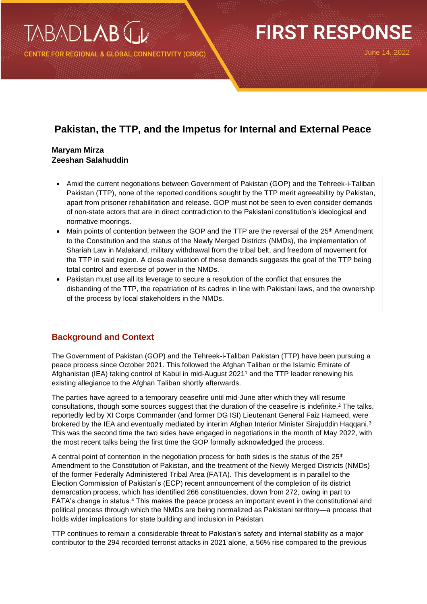**RE FOR REGIONAL & GLOBAL CONNECTIVITY (CRGC)** 

# **FIRST RESPONSE**

June 14, 2022

## **Pakistan, the TTP, and the Impetus for Internal and External Peace**

### **Maryam Mirza Zeeshan Salahuddin**

- Amid the current negotiations between Government of Pakistan (GOP) and the Tehreek-i-Taliban Pakistan (TTP), none of the reported conditions sought by the TTP merit agreeability by Pakistan, apart from prisoner rehabilitation and release. GOP must not be seen to even consider demands of non-state actors that are in direct contradiction to the Pakistani constitution's ideological and normative moorings.
- Main points of contention between the GOP and the TTP are the reversal of the  $25<sup>th</sup>$  Amendment to the Constitution and the status of the Newly Merged Districts (NMDs), the implementation of Shariah Law in Malakand, military withdrawal from the tribal belt, and freedom of movement for the TTP in said region. A close evaluation of these demands suggests the goal of the TTP being total control and exercise of power in the NMDs.
- Pakistan must use all its leverage to secure a resolution of the conflict that ensures the disbanding of the TTP, the repatriation of its cadres in line with Pakistani laws, and the ownership of the process by local stakeholders in the NMDs.

## **Background and Context**

The Government of Pakistan (GOP) and the Tehreek-i-Taliban Pakistan (TTP) have been pursuing a peace process since October 2021. This followed the Afghan Taliban or the Islamic Emirate of Afghanistan (IEA) taking control of Kabul in mid-August 2021<sup>1</sup> and the TTP leader renewing his existing allegiance to the Afghan Taliban shortly afterwards.

The parties have agreed to a temporary ceasefire until mid-June after which they will resume consultations, though some sources suggest that the duration of the ceasefire is indefinite.<sup>2</sup> The talks, reportedly led by XI Corps Commander (and former DG ISI) Lieutenant General Faiz Hameed, were brokered by the IEA and eventually mediated by interim Afghan Interior Minister Sirajuddin Haqqani.<sup>3</sup> This was the second time the two sides have engaged in negotiations in the month of May 2022, with the most recent talks being the first time the GOP formally acknowledged the process.

A central point of contention in the negotiation process for both sides is the status of the  $25<sup>th</sup>$ Amendment to the Constitution of Pakistan, and the treatment of the Newly Merged Districts (NMDs) of the former Federally Administered Tribal Area (FATA). This development is in parallel to the Election Commission of Pakistan's (ECP) recent announcement of the completion of its district demarcation process, which has identified 266 constituencies, down from 272, owing in part to FATA's change in status.<sup>4</sup> This makes the peace process an important event in the constitutional and political process through which the NMDs are being normalized as Pakistani territory—a process that holds wider implications for state building and inclusion in Pakistan.

TTP continues to remain a considerable threat to Pakistan's safety and internal stability as a major contributor to the 294 recorded terrorist attacks in 2021 alone, a 56% rise compared to the previous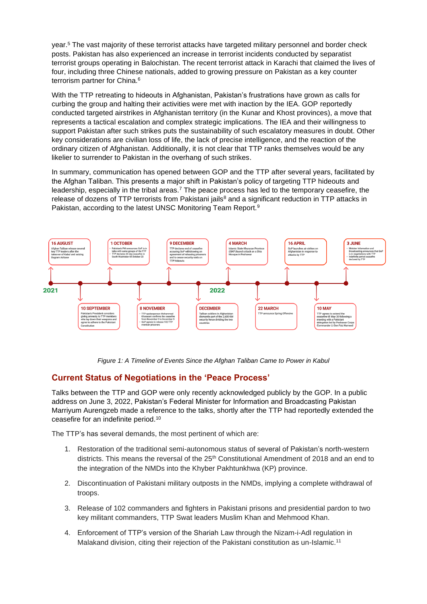year. <sup>5</sup> The vast majority of these terrorist attacks have targeted military personnel and border check posts. Pakistan has also experienced an increase in terrorist incidents conducted by separatist terrorist groups operating in Balochistan. The recent terrorist attack in Karachi that claimed the lives of four, including three Chinese nationals, added to growing pressure on Pakistan as a key counter terrorism partner for China. 6

With the TTP retreating to hideouts in Afghanistan, Pakistan's frustrations have grown as calls for curbing the group and halting their activities were met with inaction by the IEA. GOP reportedly conducted targeted airstrikes in Afghanistan territory (in the Kunar and Khost provinces), a move that represents a tactical escalation and complex strategic implications. The IEA and their willingness to support Pakistan after such strikes puts the sustainability of such escalatory measures in doubt. Other key considerations are civilian loss of life, the lack of precise intelligence, and the reaction of the ordinary citizen of Afghanistan. Additionally, it is not clear that TTP ranks themselves would be any likelier to surrender to Pakistan in the overhang of such strikes.

In summary, communication has opened between GOP and the TTP after several years, facilitated by the Afghan Taliban. This presents a major shift in Pakistan's policy of targeting TTP hideouts and leadership, especially in the tribal areas.<sup>7</sup> The peace process has led to the temporary ceasefire, the release of dozens of TTP terrorists from Pakistani jails $<sup>8</sup>$  and a significant reduction in TTP attacks in</sup> Pakistan, according to the latest UNSC Monitoring Team Report.<sup>9</sup>



*Figure 1: A Timeline of Events Since the Afghan Taliban Came to Power in Kabul*

## **Current Status of Negotiations in the 'Peace Process'**

Talks between the TTP and GOP were only recently acknowledged publicly by the GOP. In a public address on June 3, 2022, Pakistan's Federal Minister for Information and Broadcasting Pakistan Marriyum Aurengzeb made a reference to the talks, shortly after the TTP had reportedly extended the ceasefire for an indefinite period.<sup>10</sup>

The TTP's has several demands, the most pertinent of which are:

- 1. Restoration of the traditional semi-autonomous status of several of Pakistan's north-western districts. This means the reversal of the 25<sup>th</sup> Constitutional Amendment of 2018 and an end to the integration of the NMDs into the Khyber Pakhtunkhwa (KP) province.
- 2. Discontinuation of Pakistani military outposts in the NMDs, implying a complete withdrawal of troops.
- 3. Release of 102 commanders and fighters in Pakistani prisons and presidential pardon to two key militant commanders, TTP Swat leaders Muslim Khan and Mehmood Khan.
- 4. Enforcement of TTP's version of the Shariah Law through the Nizam-i-Adl regulation in Malakand division, citing their rejection of the Pakistani constitution as un-Islamic.<sup>11</sup>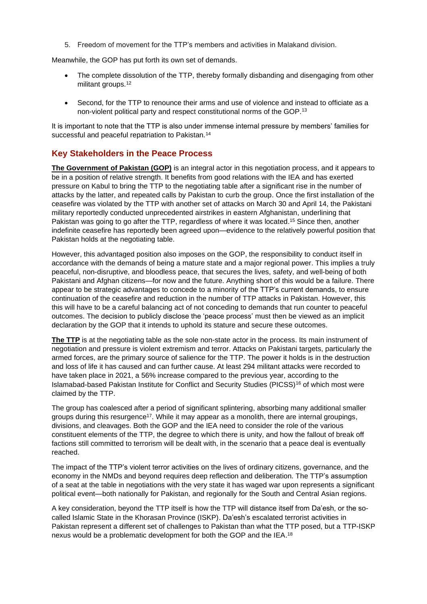5. Freedom of movement for the TTP's members and activities in Malakand division.

Meanwhile, the GOP has put forth its own set of demands.

- The complete dissolution of the TTP, thereby formally disbanding and disengaging from other militant groups.<sup>12</sup>
- Second, for the TTP to renounce their arms and use of violence and instead to officiate as a non-violent political party and respect constitutional norms of the GOP.<sup>13</sup>

It is important to note that the TTP is also under immense internal pressure by members' families for successful and peaceful repatriation to Pakistan.<sup>14</sup>

## **Key Stakeholders in the Peace Process**

**The Government of Pakistan (GOP)** is an integral actor in this negotiation process, and it appears to be in a position of relative strength. It benefits from good relations with the IEA and has exerted pressure on Kabul to bring the TTP to the negotiating table after a significant rise in the number of attacks by the latter, and repeated calls by Pakistan to curb the group. Once the first installation of the ceasefire was violated by the TTP with another set of attacks on March 30 and April 14, the Pakistani military reportedly conducted unprecedented airstrikes in eastern Afghanistan, underlining that Pakistan was going to go after the TTP, regardless of where it was located. <sup>15</sup> Since then, another indefinite ceasefire has reportedly been agreed upon—evidence to the relatively powerful position that Pakistan holds at the negotiating table.

However, this advantaged position also imposes on the GOP, the responsibility to conduct itself in accordance with the demands of being a mature state and a major regional power. This implies a truly peaceful, non-disruptive, and bloodless peace, that secures the lives, safety, and well-being of both Pakistani and Afghan citizens—for now and the future. Anything short of this would be a failure. There appear to be strategic advantages to concede to a minority of the TTP's current demands, to ensure continuation of the ceasefire and reduction in the number of TTP attacks in Pakistan. However, this this will have to be a careful balancing act of not conceding to demands that run counter to peaceful outcomes. The decision to publicly disclose the 'peace process' must then be viewed as an implicit declaration by the GOP that it intends to uphold its stature and secure these outcomes.

**The TTP** is at the negotiating table as the sole non-state actor in the process. Its main instrument of negotiation and pressure is violent extremism and terror. Attacks on Pakistani targets, particularly the armed forces, are the primary source of salience for the TTP. The power it holds is in the destruction and loss of life it has caused and can further cause. At least 294 militant attacks were recorded to have taken place in 2021, a 56% increase compared to the previous year, according to the Islamabad-based Pakistan Institute for Conflict and Security Studies (PICSS)<sup>16</sup> of which most were claimed by the TTP.

The group has coalesced after a period of significant splintering, absorbing many additional smaller groups during this resurgence<sup>17</sup>. While it may appear as a monolith, there are internal groupings, divisions, and cleavages. Both the GOP and the IEA need to consider the role of the various constituent elements of the TTP, the degree to which there is unity, and how the fallout of break off factions still committed to terrorism will be dealt with, in the scenario that a peace deal is eventually reached.

The impact of the TTP's violent terror activities on the lives of ordinary citizens, governance, and the economy in the NMDs and beyond requires deep reflection and deliberation. The TTP's assumption of a seat at the table in negotiations with the very state it has waged war upon represents a significant political event—both nationally for Pakistan, and regionally for the South and Central Asian regions.

A key consideration, beyond the TTP itself is how the TTP will distance itself from Da'esh, or the socalled Islamic State in the Khorasan Province (ISKP). Da'esh's escalated terrorist activities in Pakistan represent a different set of challenges to Pakistan than what the TTP posed, but a TTP-ISKP nexus would be a problematic development for both the GOP and the IEA.<sup>18</sup>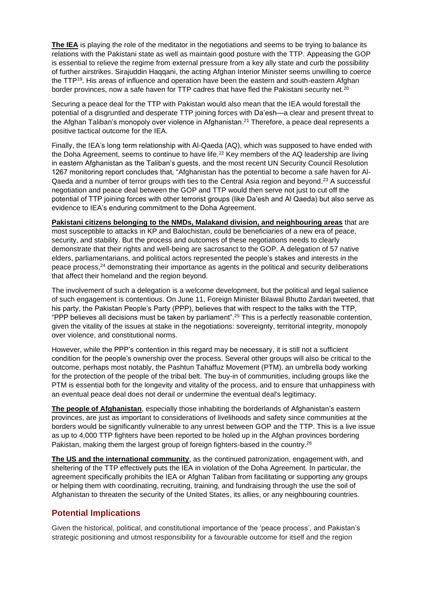**The IEA** is playing the role of the meditator in the negotiations and seems to be trying to balance its relations with the Pakistani state as well as maintain good posture with the TTP. Appeasing the GOP is essential to relieve the regime from external pressure from a key ally state and curb the possibility of further airstrikes. Sirajuddin Haqqani, the acting Afghan Interior Minister seems unwilling to coerce the TTP<sup>19</sup>. His areas of influence and operation have been the eastern and south-eastern Afghan border provinces, now a safe haven for TTP cadres that have fled the Pakistani security net.<sup>20</sup>

Securing a peace deal for the TTP with Pakistan would also mean that the IEA would forestall the potential of a disgruntled and desperate TTP joining forces with Da'esh—a clear and present threat to the Afghan Taliban's monopoly over violence in Afghanistan. <sup>21</sup> Therefore, a peace deal represents a positive tactical outcome for the IEA.

Finally, the IEA's long term relationship with Al-Qaeda (AQ), which was supposed to have ended with the Doha Agreement, seems to continue to have life.<sup>22</sup> Key members of the AQ leadership are living in eastern Afghanistan as the Taliban's guests, and the most recent UN Security Council Resolution 1267 monitoring report concludes that, "Afghanistan has the potential to become a safe haven for Al-Qaeda and a number of terror groups with ties to the Central Asia region and beyond.<sup>23</sup> A successful negotiation and peace deal between the GOP and TTP would then serve not just to cut off the potential of TTP joining forces with other terrorist groups (like Da'esh and Al Qaeda) but also serve as evidence to IEA's enduring commitment to the Doha Agreement.

**Pakistani citizens belonging to the NMDs, Malakand division, and neighbouring areas** that are most susceptible to attacks in KP and Balochistan, could be beneficiaries of a new era of peace, security, and stability. But the process and outcomes of these negotiations needs to clearly demonstrate that their rights and well-being are sacrosanct to the GOP. A delegation of 57 native elders, parliamentarians, and political actors represented the people's stakes and interests in the peace process, <sup>24</sup> demonstrating their importance as agents in the political and security deliberations that affect their homeland and the region beyond.

The involvement of such a delegation is a welcome development, but the political and legal salience of such engagement is contentious. On June 11, Foreign Minister Bilawal Bhutto Zardari tweeted, that his party, the Pakistan People's Party (PPP), believes that with respect to the talks with the TTP, "PPP believes all decisions must be taken by parliament".<sup>25</sup> This is a perfectly reasonable contention, given the vitality of the issues at stake in the negotiations: sovereignty, territorial integrity, monopoly over violence, and constitutional norms.

However, while the PPP's contention in this regard may be necessary, it is still not a sufficient condition for the people's ownership over the process. Several other groups will also be critical to the outcome, perhaps most notably, the Pashtun Tahaffuz Movement (PTM), an umbrella body working for the protection of the people of the tribal belt. The buy-in of communities, including groups like the PTM is essential both for the longevity and vitality of the process, and to ensure that unhappiness with an eventual peace deal does not derail or undermine the eventual deal's legitimacy.

**The people of Afghanistan**, especially those inhabiting the borderlands of Afghanistan's eastern provinces, are just as important to considerations of livelihoods and safety since communities at the borders would be significantly vulnerable to any unrest between GOP and the TTP. This is a live issue as up to 4,000 TTP fighters have been reported to be holed up in the Afghan provinces bordering Pakistan, making them the largest group of foreign fighters-based in the country.<sup>26</sup>

**The US and the international community**, as the continued patronization, engagement with, and sheltering of the TTP effectively puts the IEA in violation of the Doha Agreement. In particular, the agreement specifically prohibits the IEA or Afghan Taliban from facilitating or supporting any groups or helping them with coordinating, recruiting, training, and fundraising through the use the soil of Afghanistan to threaten the security of the United States, its allies, or any neighbouring countries.

#### **Potential Implications**

Given the historical, political, and constitutional importance of the 'peace process', and Pakistan's strategic positioning and utmost responsibility for a favourable outcome for itself and the region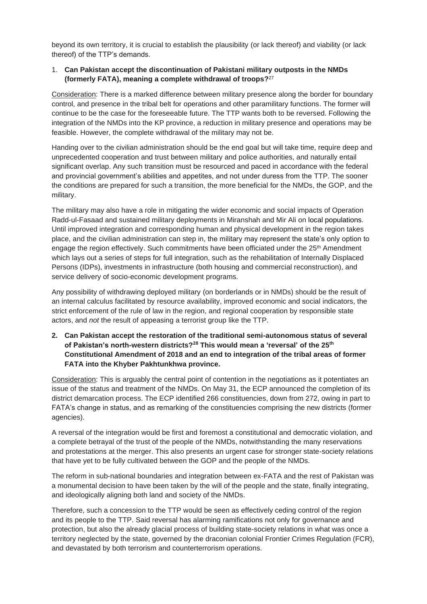beyond its own territory, it is crucial to establish the plausibility (or lack thereof) and viability (or lack thereof) of the TTP's demands.

#### 1. **Can Pakistan accept the discontinuation of Pakistani military outposts in the NMDs (formerly FATA), meaning a complete withdrawal of troops?**<sup>27</sup>

Consideration: There is a marked difference between military presence along the border for boundary control, and presence in the tribal belt for operations and other paramilitary functions. The former will continue to be the case for the foreseeable future. The TTP wants both to be reversed. Following the integration of the NMDs into the KP province, a reduction in military presence and operations may be feasible. However, the complete withdrawal of the military may not be.

Handing over to the civilian administration should be the end goal but will take time, require deep and unprecedented cooperation and trust between military and police authorities, and naturally entail significant overlap. Any such transition must be resourced and paced in accordance with the federal and provincial government's abilities and appetites, and not under duress from the TTP. The sooner the conditions are prepared for such a transition, the more beneficial for the NMDs, the GOP, and the military.

The military may also have a role in mitigating the wider economic and social impacts of Operation Radd-ul-Fasaad and sustained military deployments in Miranshah and Mir Ali on local populations. Until improved integration and corresponding human and physical development in the region takes place, and the civilian administration can step in, the military may represent the state's only option to engage the region effectively. Such commitments have been officiated under the 25<sup>th</sup> Amendment which lays out a series of steps for full integration, such as the rehabilitation of Internally Displaced Persons (IDPs), investments in infrastructure (both housing and commercial reconstruction), and service delivery of socio-economic development programs.

Any possibility of withdrawing deployed military (on borderlands or in NMDs) should be the result of an internal calculus facilitated by resource availability, improved economic and social indicators, the strict enforcement of the rule of law in the region, and regional cooperation by responsible state actors, and *not* the result of appeasing a terrorist group like the TTP.

#### **2. Can Pakistan accept the restoration of the traditional semi-autonomous status of several of Pakistan's north-western districts? <sup>28</sup> This would mean a 'reversal' of the 25th Constitutional Amendment of 2018 and an end to integration of the tribal areas of former FATA into the Khyber Pakhtunkhwa province.**

Consideration: This is arguably the central point of contention in the negotiations as it potentiates an issue of the status and treatment of the NMDs. On May 31, the ECP announced the completion of its district demarcation process. The ECP identified 266 constituencies, down from 272, owing in part to FATA's change in status, and as remarking of the constituencies comprising the new districts (former agencies).

A reversal of the integration would be first and foremost a constitutional and democratic violation, and a complete betrayal of the trust of the people of the NMDs, notwithstanding the many reservations and protestations at the merger. This also presents an urgent case for stronger state-society relations that have yet to be fully cultivated between the GOP and the people of the NMDs.

The reform in sub-national boundaries and integration between ex-FATA and the rest of Pakistan was a monumental decision to have been taken by the will of the people and the state, finally integrating, and ideologically aligning both land and society of the NMDs.

Therefore, such a concession to the TTP would be seen as effectively ceding control of the region and its people to the TTP. Said reversal has alarming ramifications not only for governance and protection, but also the already glacial process of building state-society relations in what was once a territory neglected by the state, governed by the draconian colonial Frontier Crimes Regulation (FCR), and devastated by both terrorism and counterterrorism operations.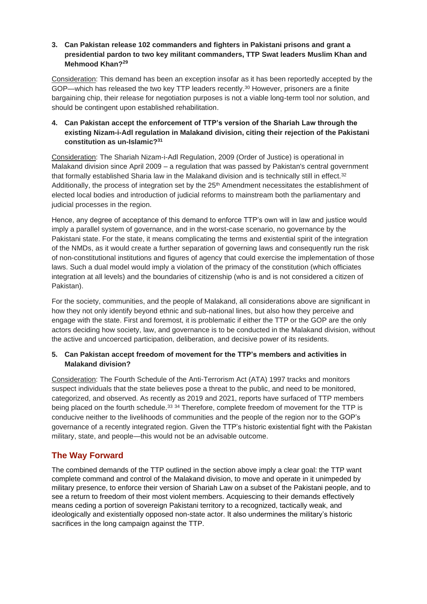#### **3. Can Pakistan release 102 commanders and fighters in Pakistani prisons and grant a presidential pardon to two key militant commanders, TTP Swat leaders Muslim Khan and Mehmood Khan? 29**

Consideration: This demand has been an exception insofar as it has been reportedly accepted by the GOP—which has released the two key TTP leaders recently. <sup>30</sup> However, prisoners are a finite bargaining chip, their release for negotiation purposes is not a viable long-term tool nor solution, and should be contingent upon established rehabilitation.

#### **4. Can Pakistan accept the enforcement of TTP's version of the Shariah Law through the existing Nizam-i-Adl regulation in Malakand division, citing their rejection of the Pakistani constitution as un-Islamic? 31**

Consideration: The Shariah Nizam-i-Adl Regulation, 2009 (Order of Justice) is operational in Malakand division since April 2009 – a regulation that was passed by Pakistan's central government that formally established Sharia law in the Malakand division and is technically still in effect.<sup>32</sup> Additionally, the process of integration set by the 25<sup>th</sup> Amendment necessitates the establishment of elected local bodies and introduction of judicial reforms to mainstream both the parliamentary and judicial processes in the region.

Hence, any degree of acceptance of this demand to enforce TTP's own will in law and justice would imply a parallel system of governance, and in the worst-case scenario, no governance by the Pakistani state. For the state, it means complicating the terms and existential spirit of the integration of the NMDs, as it would create a further separation of governing laws and consequently run the risk of non-constitutional institutions and figures of agency that could exercise the implementation of those laws. Such a dual model would imply a violation of the primacy of the constitution (which officiates integration at all levels) and the boundaries of citizenship (who is and is not considered a citizen of Pakistan).

For the society, communities, and the people of Malakand, all considerations above are significant in how they not only identify beyond ethnic and sub-national lines, but also how they perceive and engage with the state. First and foremost, it is problematic if either the TTP or the GOP are the only actors deciding how society, law, and governance is to be conducted in the Malakand division, without the active and uncoerced participation, deliberation, and decisive power of its residents.

#### **5. Can Pakistan accept freedom of movement for the TTP's members and activities in Malakand division?**

Consideration: The Fourth Schedule of the Anti-Terrorism Act (ATA) 1997 tracks and monitors suspect individuals that the state believes pose a threat to the public, and need to be monitored, categorized, and observed. As recently as 2019 and 2021, reports have surfaced of TTP members being placed on the fourth schedule.<sup>33</sup> <sup>34</sup> Therefore, complete freedom of movement for the TTP is conducive neither to the livelihoods of communities and the people of the region nor to the GOP's governance of a recently integrated region. Given the TTP's historic existential fight with the Pakistan military, state, and people—this would not be an advisable outcome.

## **The Way Forward**

The combined demands of the TTP outlined in the section above imply a clear goal: the TTP want complete command and control of the Malakand division, to move and operate in it unimpeded by military presence, to enforce their version of Shariah Law on a subset of the Pakistani people, and to see a return to freedom of their most violent members. Acquiescing to their demands effectively means ceding a portion of sovereign Pakistani territory to a recognized, tactically weak, and ideologically and existentially opposed non-state actor. It also undermines the military's historic sacrifices in the long campaign against the TTP.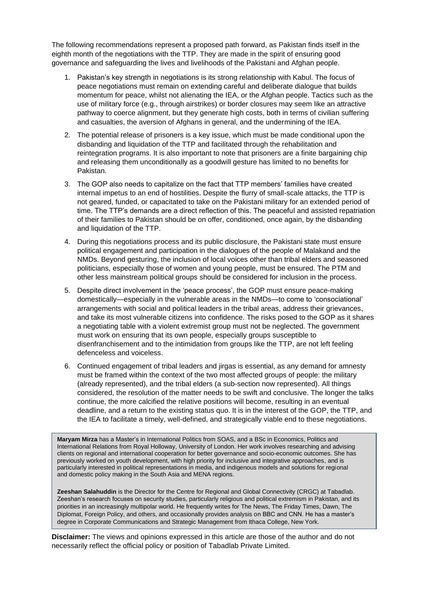The following recommendations represent a proposed path forward, as Pakistan finds itself in the eighth month of the negotiations with the TTP. They are made in the spirit of ensuring good governance and safeguarding the lives and livelihoods of the Pakistani and Afghan people.

- 1. Pakistan's key strength in negotiations is its strong relationship with Kabul. The focus of peace negotiations must remain on extending careful and deliberate dialogue that builds momentum for peace, whilst not alienating the IEA, or the Afghan people. Tactics such as the use of military force (e.g., through airstrikes) or border closures may seem like an attractive pathway to coerce alignment, but they generate high costs, both in terms of civilian suffering and casualties, the aversion of Afghans in general, and the undermining of the IEA.
- 2. The potential release of prisoners is a key issue, which must be made conditional upon the disbanding and liquidation of the TTP and facilitated through the rehabilitation and reintegration programs. It is also important to note that prisoners are a finite bargaining chip and releasing them unconditionally as a goodwill gesture has limited to no benefits for Pakistan.
- 3. The GOP also needs to capitalize on the fact that TTP members' families have created internal impetus to an end of hostilities. Despite the flurry of small-scale attacks, the TTP is not geared, funded, or capacitated to take on the Pakistani military for an extended period of time. The TTP's demands are a direct reflection of this. The peaceful and assisted repatriation of their families to Pakistan should be on offer, conditioned, once again, by the disbanding and liquidation of the TTP.
- 4. During this negotiations process and its public disclosure, the Pakistani state must ensure political engagement and participation in the dialogues of the people of Malakand and the NMDs. Beyond gesturing, the inclusion of local voices other than tribal elders and seasoned politicians, especially those of women and young people, must be ensured. The PTM and other less mainstream political groups should be considered for inclusion in the process.
- 5. Despite direct involvement in the 'peace process', the GOP must ensure peace-making domestically—especially in the vulnerable areas in the NMDs—to come to 'consociational' arrangements with social and political leaders in the tribal areas, address their grievances, and take its most vulnerable citizens into confidence. The risks posed to the GOP as it shares a negotiating table with a violent extremist group must not be neglected. The government must work on ensuring that its own people, especially groups susceptible to disenfranchisement and to the intimidation from groups like the TTP, are not left feeling defenceless and voiceless.
- 6. Continued engagement of tribal leaders and jirgas is essential, as any demand for amnesty must be framed within the context of the two most affected groups of people: the military (already represented), and the tribal elders (a sub-section now represented). All things considered, the resolution of the matter needs to be swift and conclusive. The longer the talks continue, the more calcified the relative positions will become, resulting in an eventual deadline, and a return to the existing status quo. It is in the interest of the GOP, the TTP, and the IEA to facilitate a timely, well-defined, and strategically viable end to these negotiations.

**Maryam Mirza** has a Master's in International Politics from SOAS, and a BSc in Economics, Politics and International Relations from Royal Holloway, University of London. Her work involves researching and advising clients on regional and international cooperation for better governance and socio-economic outcomes. She has previously worked on youth development, with high priority for inclusive and integrative approaches, and is particularly interested in political representations in media, and indigenous models and solutions for regional and domestic policy making in the South Asia and MENA regions.

**Zeeshan Salahuddin** is the Director for the Centre for Regional and Global Connectivity (CRGC) at Tabadlab. Zeeshan's research focuses on security studies, particularly religious and political extremism in Pakistan, and its priorities in an increasingly multipolar world. He frequently writes for The News, The Friday Times, Dawn, The Diplomat, Foreign Policy, and others, and occasionally provides analysis on BBC and CNN. He has a master's degree in Corporate Communications and Strategic Management from Ithaca College, New York.

**Disclaimer:** The views and opinions expressed in this article are those of the author and do not necessarily reflect the official policy or position of Tabadlab Private Limited.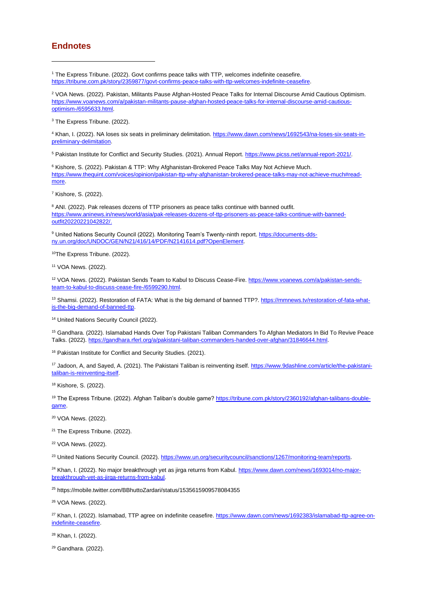#### **Endnotes**

<sup>1</sup> The Express Tribune. (2022). Govt confirms peace talks with TTP, welcomes indefinite ceasefire. [https://tribune.com.pk/story/2359877/govt-confirms-peace-talks-with-ttp-welcomes-indefinite-ceasefire.](https://tribune.com.pk/story/2359877/govt-confirms-peace-talks-with-ttp-welcomes-indefinite-ceasefire)

<sup>2</sup> VOA News. (2022). Pakistan, Militants Pause Afghan-Hosted Peace Talks for Internal Discourse Amid Cautious Optimism. [https://www.voanews.com/a/pakistan-militants-pause-afghan-hosted-peace-talks-for-internal-discourse-amid-cautious](https://www.voanews.com/a/pakistan-militants-pause-afghan-hosted-peace-talks-for-internal-discourse-amid-cautious-optimism-/6595633.html)[optimism-/6595633.html.](https://www.voanews.com/a/pakistan-militants-pause-afghan-hosted-peace-talks-for-internal-discourse-amid-cautious-optimism-/6595633.html) 

<sup>3</sup> The Express Tribune. (2022).

<sup>4</sup> Khan, I. (2022). NA loses six seats in preliminary delimitation[. https://www.dawn.com/news/1692543/na-loses-six-seats-in](https://www.dawn.com/news/1692543/na-loses-six-seats-in-preliminary-delimitation)[preliminary-delimitation.](https://www.dawn.com/news/1692543/na-loses-six-seats-in-preliminary-delimitation)

<sup>5</sup> Pakistan Institute for Conflict and Security Studies. (2021). Annual Report[. https://www.picss.net/annual-report-2021/.](https://www.picss.net/annual-report-2021/)

<sup>6</sup> Kishore, S. (2022). Pakistan & TTP: Why Afghanistan-Brokered Peace Talks May Not Achieve Much. [https://www.thequint.com/voices/opinion/pakistan-ttp-why-afghanistan-brokered-peace-talks-may-not-achieve-much#read](https://www.thequint.com/voices/opinion/pakistan-ttp-why-afghanistan-brokered-peace-talks-may-not-achieve-much#read-more)[more.](https://www.thequint.com/voices/opinion/pakistan-ttp-why-afghanistan-brokered-peace-talks-may-not-achieve-much#read-more)

<sup>7</sup> Kishore, S. (2022).

<sup>8</sup> ANI. (2022). Pak releases dozens of TTP prisoners as peace talks continue with banned outfit. [https://www.aninews.in/news/world/asia/pak-releases-dozens-of-ttp-prisoners-as-peace-talks-continue-with-banned](https://www.aninews.in/news/world/asia/pak-releases-dozens-of-ttp-prisoners-as-peace-talks-continue-with-banned-outfit20220221042822/)[outfit20220221042822/.](https://www.aninews.in/news/world/asia/pak-releases-dozens-of-ttp-prisoners-as-peace-talks-continue-with-banned-outfit20220221042822/)

<sup>9</sup> United Nations Security Council (2022). Monitoring Team's Twenty-ninth report[. https://documents-dds](https://documents-dds-ny.un.org/doc/UNDOC/GEN/N21/416/14/PDF/N2141614.pdf?OpenElement)[ny.un.org/doc/UNDOC/GEN/N21/416/14/PDF/N2141614.pdf?OpenElement.](https://documents-dds-ny.un.org/doc/UNDOC/GEN/N21/416/14/PDF/N2141614.pdf?OpenElement) 

10The Express Tribune. (2022).

<sup>11</sup> VOA News. (2022).

<sup>12</sup> VOA News. (2022). Pakistan Sends Team to Kabul to Discuss Cease-Fire. [https://www.voanews.com/a/pakistan-sends](https://www.voanews.com/a/pakistan-sends-team-to-kabul-to-discuss-cease-fire-/6599290.html)[team-to-kabul-to-discuss-cease-fire-/6599290.html.](https://www.voanews.com/a/pakistan-sends-team-to-kabul-to-discuss-cease-fire-/6599290.html)

<sup>13</sup> Shamsi. (2022). Restoration of FATA: What is the big demand of banned TTP?[. https://mmnews.tv/restoration-of-fata-what](https://mmnews.tv/restoration-of-fata-what-is-the-big-demand-of-banned-ttp)[is-the-big-demand-of-banned-ttp.](https://mmnews.tv/restoration-of-fata-what-is-the-big-demand-of-banned-ttp)

<sup>14</sup> United Nations Security Council (2022).

<sup>15</sup> Gandhara. (2022). Islamabad Hands Over Top Pakistani Taliban Commanders To Afghan Mediators In Bid To Revive Peace Talks. (2022). [https://gandhara.rferl.org/a/pakistani-taliban-commanders-handed-over-afghan/31846644.html.](https://gandhara.rferl.org/a/pakistani-taliban-commanders-handed-over-afghan/31846644.html)

<sup>16</sup> Pakistan Institute for Conflict and Security Studies. (2021).

17 Jadoon, A, and Sayed, A. (2021). The Pakistani Taliban is reinventing itself[. https://www.9dashline.com/article/the-pakistani](https://www.9dashline.com/article/the-pakistani-taliban-is-reinventing-itself)[taliban-is-reinventing-itself.](https://www.9dashline.com/article/the-pakistani-taliban-is-reinventing-itself)

<sup>18</sup> Kishore, S. (2022).

<sup>19</sup> The Express Tribune. (2022). Afghan Taliban's double game? [https://tribune.com.pk/story/2360192/afghan-talibans-double](https://tribune.com.pk/story/2360192/afghan-talibans-double-game)[game.](https://tribune.com.pk/story/2360192/afghan-talibans-double-game)

<sup>20</sup> VOA News. (2022).

<sup>21</sup> The Express Tribune. (2022).

<sup>22</sup> VOA News. (2022).

<sup>23</sup> United Nations Security Council. (2022). https://www.un.org/securitycouncil/sanctions/1267/monitoring-team/reports.

<sup>24</sup> Khan, I. (2022). No major breakthrough yet as jirga returns from Kabul. [https://www.dawn.com/news/1693014/no-major](https://www.dawn.com/news/1693014/no-major-breakthrough-yet-as-jirga-returns-from-kabul)[breakthrough-yet-as-jirga-returns-from-kabul.](https://www.dawn.com/news/1693014/no-major-breakthrough-yet-as-jirga-returns-from-kabul) 

<sup>25</sup> https://mobile.twitter.com/BBhuttoZardari/status/1535615909578084355

<sup>26</sup> VOA News. (2022).

<sup>27</sup> Khan, I. (2022). Islamabad, TTP agree on indefinite ceasefire. [https://www.dawn.com/news/1692383/islamabad-ttp-agree-on](https://www.dawn.com/news/1692383/islamabad-ttp-agree-on-indefinite-ceasefire)[indefinite-ceasefire.](https://www.dawn.com/news/1692383/islamabad-ttp-agree-on-indefinite-ceasefire)

<sup>28</sup> Khan, I. (2022).

<sup>29</sup> Gandhara. (2022).